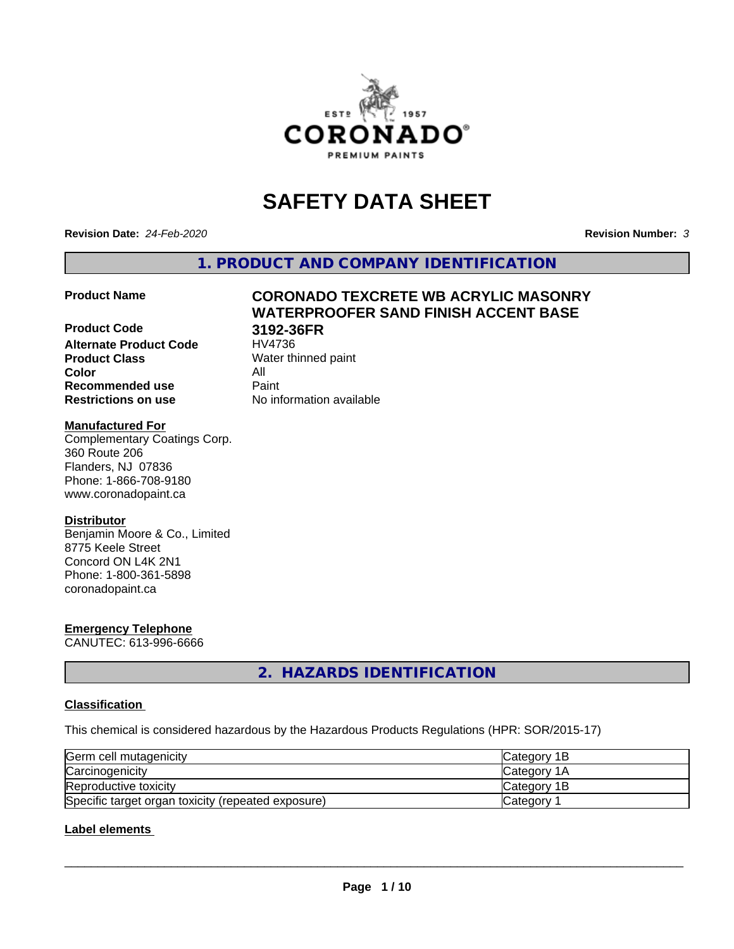

# **SAFETY DATA SHEET**

**Revision Date:** *24-Feb-2020* **Revision Number:** *3*

**1. PRODUCT AND COMPANY IDENTIFICATION**

### **Product Code 3192-36FR Alternate Product Code Product Class** Water thinned paint<br> **Color** All **Color** All **Recommended use Caint**

# **Product Name CORONADO TEXCRETE WB ACRYLIC MASONRY WATERPROOFER SAND FINISH ACCENT BASE**

**Restrictions on use** No information available

### **Manufactured For**

Complementary Coatings Corp. 360 Route 206 Flanders, NJ 07836 Phone: 1-866-708-9180 www.coronadopaint.ca

### **Distributor**

Benjamin Moore & Co., Limited 8775 Keele Street Concord ON L4K 2N1 Phone: 1-800-361-5898 coronadopaint.ca

# **Emergency Telephone**

CANUTEC: 613-996-6666

**2. HAZARDS IDENTIFICATION**

### **Classification**

This chemical is considered hazardous by the Hazardous Products Regulations (HPR: SOR/2015-17)

| Germ cell mutagenicity                             | <b>Category 1B</b> |
|----------------------------------------------------|--------------------|
| Carcinogenicity                                    | <b>Category 1A</b> |
| Reproductive toxicity                              | Category 1B        |
| Specific target organ toxicity (repeated exposure) | Category           |

### **Label elements**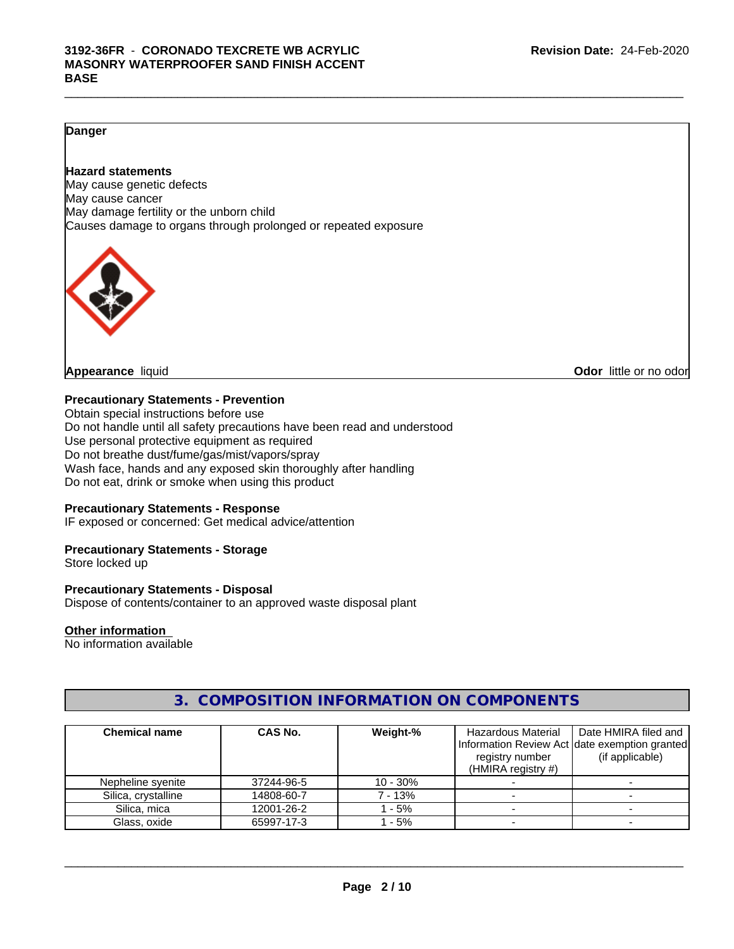### **Danger**

### **Hazard statements**

May cause genetic defects May cause cancer May damage fertility or the unborn child Causes damage to organs through prolonged or repeated exposure



**Appearance** liquid **Odor in the original of the original of the original of the original of the original of the original of the original of the original of the original of the original of the original of the original of t** 

### **Precautionary Statements - Prevention**

Obtain special instructions before use Do not handle until all safety precautions have been read and understood Use personal protective equipment as required Do not breathe dust/fume/gas/mist/vapors/spray Wash face, hands and any exposed skin thoroughly after handling Do not eat, drink or smoke when using this product

### **Precautionary Statements - Response**

IF exposed or concerned: Get medical advice/attention

### **Precautionary Statements - Storage**

Store locked up

### **Precautionary Statements - Disposal**

Dispose of contents/container to an approved waste disposal plant

### **Other information**

No information available

### **3. COMPOSITION INFORMATION ON COMPONENTS**

| <b>Chemical name</b> | CAS No.    | Weight-%   | Hazardous Material    | Date HMIRA filed and                           |
|----------------------|------------|------------|-----------------------|------------------------------------------------|
|                      |            |            |                       | Information Review Act Idate exemption granted |
|                      |            |            | registry number       | (if applicable)                                |
|                      |            |            | (HMIRA registry $#$ ) |                                                |
| Nepheline syenite    | 37244-96-5 | $10 - 30%$ |                       |                                                |
| Silica, crystalline  | 14808-60-7 | 7 - 13%    |                       |                                                |
| Silica, mica         | 12001-26-2 | 1 - 5%     |                       |                                                |
| Glass, oxide         | 65997-17-3 | 1 - 5%     |                       |                                                |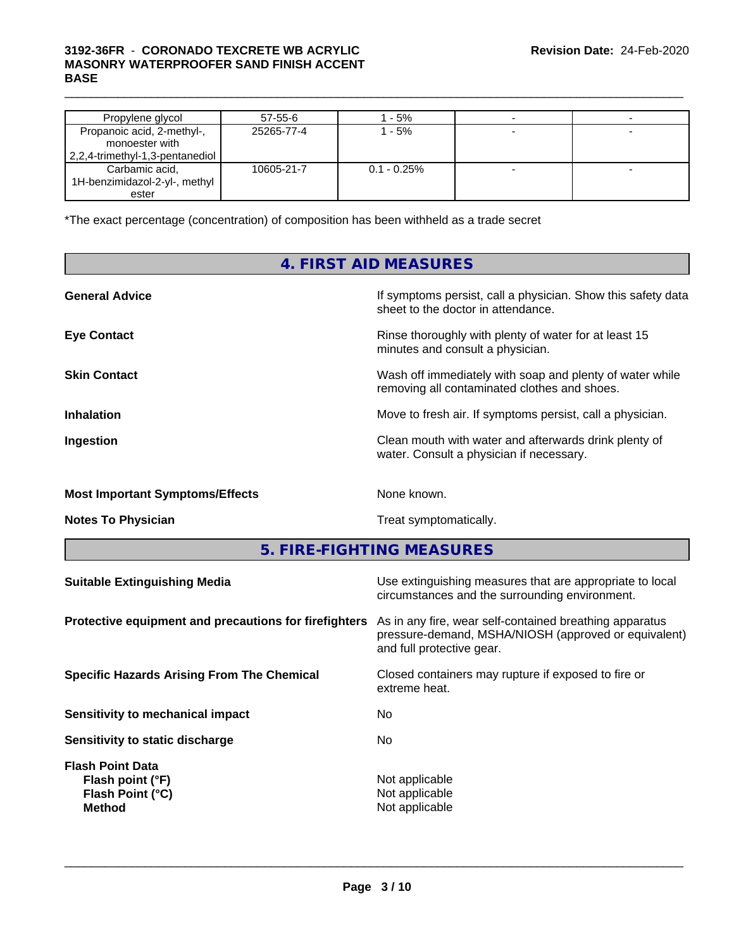### $\_$  ,  $\_$  ,  $\_$  ,  $\_$  ,  $\_$  ,  $\_$  ,  $\_$  ,  $\_$  ,  $\_$  ,  $\_$  ,  $\_$  ,  $\_$  ,  $\_$  ,  $\_$  ,  $\_$  ,  $\_$  ,  $\_$  ,  $\_$  ,  $\_$  ,  $\_$  ,  $\_$  ,  $\_$  ,  $\_$  ,  $\_$  ,  $\_$  ,  $\_$  ,  $\_$  ,  $\_$  ,  $\_$  ,  $\_$  ,  $\_$  ,  $\_$  ,  $\_$  ,  $\_$  ,  $\_$  ,  $\_$  ,  $\_$  , **3192-36FR** - **CORONADO TEXCRETE WB ACRYLIC MASONRY WATERPROOFER SAND FINISH ACCENT BASE**

| Propylene glycol                | 57-55-6    | l - 5%         |  |
|---------------------------------|------------|----------------|--|
| Propanoic acid, 2-methyl-,      | 25265-77-4 | $-5%$          |  |
| monoester with                  |            |                |  |
| 2,2,4-trimethyl-1,3-pentanediol |            |                |  |
| Carbamic acid,                  | 10605-21-7 | $0.1 - 0.25\%$ |  |
| 1H-benzimidazol-2-yl-, methyl   |            |                |  |
| ester                           |            |                |  |

\*The exact percentage (concentration) of composition has been withheld as a trade secret

### **4. FIRST AID MEASURES**

| <b>General Advice</b>                  | If symptoms persist, call a physician. Show this safety data<br>sheet to the doctor in attendance.       |
|----------------------------------------|----------------------------------------------------------------------------------------------------------|
| <b>Eye Contact</b>                     | Rinse thoroughly with plenty of water for at least 15<br>minutes and consult a physician.                |
| <b>Skin Contact</b>                    | Wash off immediately with soap and plenty of water while<br>removing all contaminated clothes and shoes. |
| <b>Inhalation</b>                      | Move to fresh air. If symptoms persist, call a physician.                                                |
| Ingestion                              | Clean mouth with water and afterwards drink plenty of<br>water. Consult a physician if necessary.        |
| <b>Most Important Symptoms/Effects</b> | None known.                                                                                              |
| <b>Notes To Physician</b>              | Treat symptomatically.                                                                                   |

**5. FIRE-FIGHTING MEASURES**

| Use extinguishing measures that are appropriate to local<br>circumstances and the surrounding environment.                                   |
|----------------------------------------------------------------------------------------------------------------------------------------------|
| As in any fire, wear self-contained breathing apparatus<br>pressure-demand, MSHA/NIOSH (approved or equivalent)<br>and full protective gear. |
| Closed containers may rupture if exposed to fire or<br>extreme heat.                                                                         |
| No                                                                                                                                           |
| No                                                                                                                                           |
| Not applicable<br>Not applicable<br>Not applicable                                                                                           |
|                                                                                                                                              |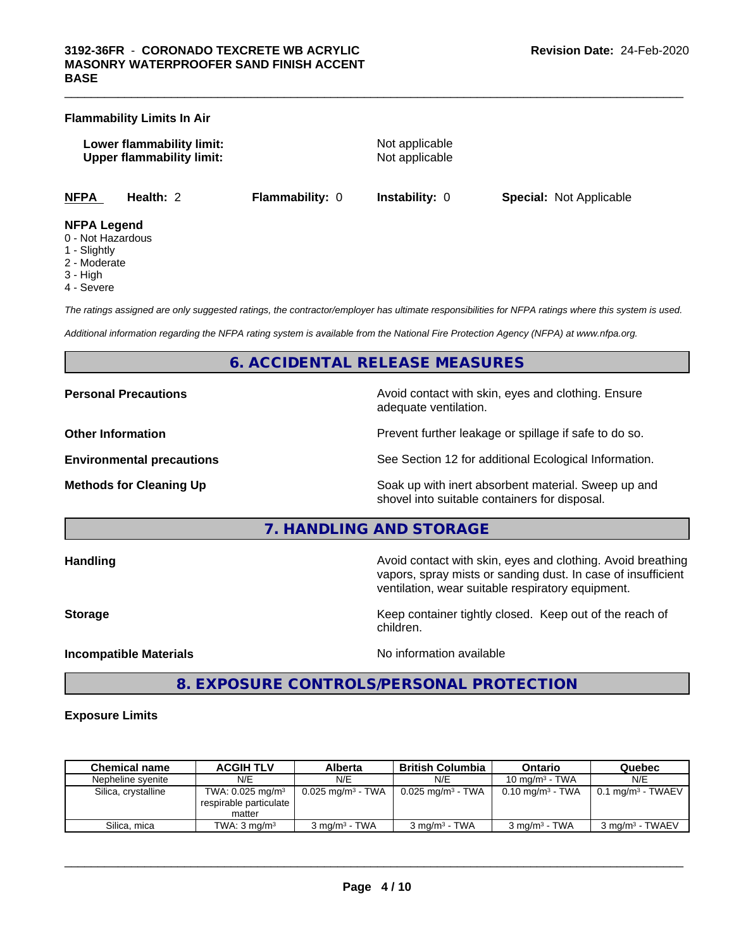### **Flammability Limits In Air**

**Lower flammability limit:** Not applicable **Upper flammability limit:** Not applicable

 $\_$  ,  $\_$  ,  $\_$  ,  $\_$  ,  $\_$  ,  $\_$  ,  $\_$  ,  $\_$  ,  $\_$  ,  $\_$  ,  $\_$  ,  $\_$  ,  $\_$  ,  $\_$  ,  $\_$  ,  $\_$  ,  $\_$  ,  $\_$  ,  $\_$  ,  $\_$  ,  $\_$  ,  $\_$  ,  $\_$  ,  $\_$  ,  $\_$  ,  $\_$  ,  $\_$  ,  $\_$  ,  $\_$  ,  $\_$  ,  $\_$  ,  $\_$  ,  $\_$  ,  $\_$  ,  $\_$  ,  $\_$  ,  $\_$  ,

**NFPA Health:** 2 **Flammability:** 0 **Instability:** 0 **Special:** Not Applicable

### **NFPA Legend**

- 0 Not Hazardous
- 1 Slightly
- 2 Moderate
- 3 High
- 4 Severe

*The ratings assigned are only suggested ratings, the contractor/employer has ultimate responsibilities for NFPA ratings where this system is used.*

*Additional information regarding the NFPA rating system is available from the National Fire Protection Agency (NFPA) at www.nfpa.org.*

### **6. ACCIDENTAL RELEASE MEASURES**

**Personal Precautions Avoid contact with skin, eyes and clothing. Ensure** Avoid contact with skin, eyes and clothing. Ensure adequate ventilation.

**Other Information Discription Prevent further leakage or spillage if safe to do so.** 

**Environmental precautions** See Section 12 for additional Ecological Information.

**Methods for Cleaning Up Example 20 Soak** up with inert absorbent material. Sweep up and shovel into suitable containers for disposal.

**7. HANDLING AND STORAGE**

**Handling Handling Avoid contact with skin, eyes and clothing. Avoid breathing** vapors, spray mists or sanding dust. In case of insufficient ventilation, wear suitable respiratory equipment. **Storage Keep container tightly closed.** Keep out of the reach of children. **Incompatible Materials** Noinformation available

 $\overline{\phantom{a}}$  ,  $\overline{\phantom{a}}$  ,  $\overline{\phantom{a}}$  ,  $\overline{\phantom{a}}$  ,  $\overline{\phantom{a}}$  ,  $\overline{\phantom{a}}$  ,  $\overline{\phantom{a}}$  ,  $\overline{\phantom{a}}$  ,  $\overline{\phantom{a}}$  ,  $\overline{\phantom{a}}$  ,  $\overline{\phantom{a}}$  ,  $\overline{\phantom{a}}$  ,  $\overline{\phantom{a}}$  ,  $\overline{\phantom{a}}$  ,  $\overline{\phantom{a}}$  ,  $\overline{\phantom{a}}$ 

### **8. EXPOSURE CONTROLS/PERSONAL PROTECTION**

### **Exposure Limits**

| <b>Chemical name</b> | <b>ACGIH TLV</b>                                                   | Alberta                         | <b>British Columbia</b>      | Ontario                     | Quebec                             |
|----------------------|--------------------------------------------------------------------|---------------------------------|------------------------------|-----------------------------|------------------------------------|
| Nepheline svenite    | N/E                                                                | N/E                             | N/E                          | 10 mg/m $3$ - TWA           | N/E                                |
| Silica, crystalline  | TWA: $0.025$ mg/m <sup>3</sup><br>respirable particulate<br>matter | $0.025$ mg/m <sup>3</sup> - TWA | $0.025 \text{ mg/m}^3$ - TWA | $0.10 \text{ mg/m}^3$ - TWA | $0.1 \text{ mg/m}^3$ - TWAEV $\mu$ |
| Silica, mica         | TWA: $3 \text{ mg/m}^3$                                            | $3 \text{ ma/m}^3$ - TWA        | $3 \text{ ma/m}^3$ - TWA     | $3 \text{ ma/m}^3$ - TWA    | 3 mg/m <sup>3</sup> - TWAEV        |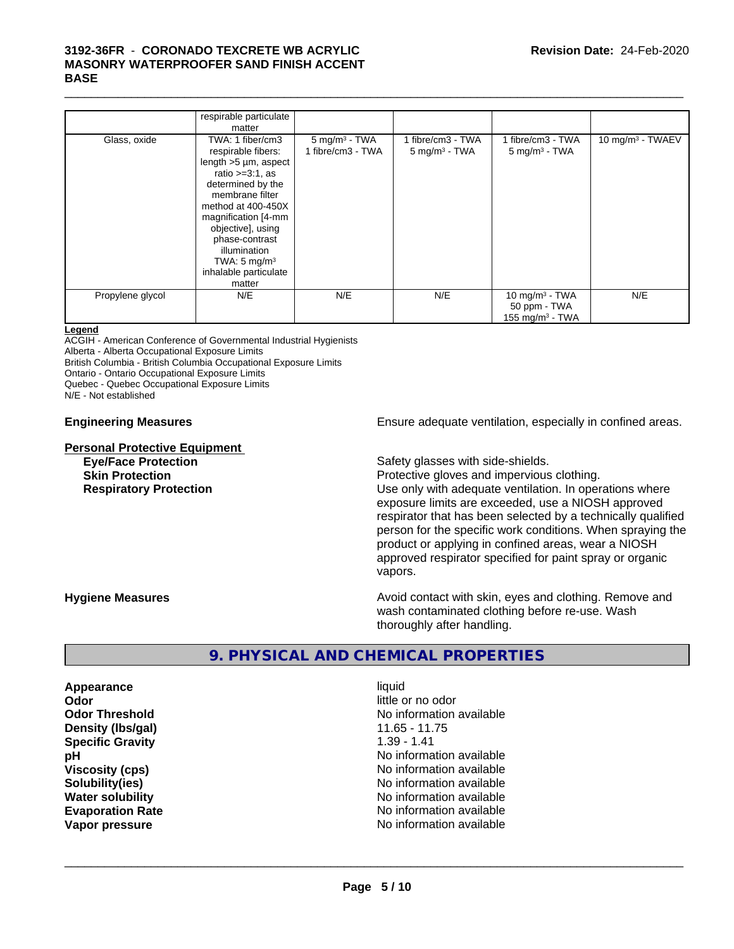### $\_$  ,  $\_$  ,  $\_$  ,  $\_$  ,  $\_$  ,  $\_$  ,  $\_$  ,  $\_$  ,  $\_$  ,  $\_$  ,  $\_$  ,  $\_$  ,  $\_$  ,  $\_$  ,  $\_$  ,  $\_$  ,  $\_$  ,  $\_$  ,  $\_$  ,  $\_$  ,  $\_$  ,  $\_$  ,  $\_$  ,  $\_$  ,  $\_$  ,  $\_$  ,  $\_$  ,  $\_$  ,  $\_$  ,  $\_$  ,  $\_$  ,  $\_$  ,  $\_$  ,  $\_$  ,  $\_$  ,  $\_$  ,  $\_$  , **3192-36FR** - **CORONADO TEXCRETE WB ACRYLIC MASONRY WATERPROOFER SAND FINISH ACCENT BASE**

|                  | respirable particulate     |                    |                             |                            |                              |
|------------------|----------------------------|--------------------|-----------------------------|----------------------------|------------------------------|
|                  | matter                     |                    |                             |                            |                              |
| Glass, oxide     | TWA: 1 fiber/cm3           | $5$ mg/m $3$ - TWA | 1 fibre/cm3 - TWA           | 1 fibre/cm3 - TWA          | 10 mg/m <sup>3</sup> - TWAEV |
|                  | respirable fibers:         | 1 fibre/cm3 - TWA  | $5$ mg/m <sup>3</sup> - TWA | $5 \text{ mg/m}^3$ - TWA   |                              |
|                  | length $>5 \mu m$ , aspect |                    |                             |                            |                              |
|                  | ratio $>=3:1$ , as         |                    |                             |                            |                              |
|                  | determined by the          |                    |                             |                            |                              |
|                  | membrane filter            |                    |                             |                            |                              |
|                  | method at 400-450X         |                    |                             |                            |                              |
|                  | magnification [4-mm        |                    |                             |                            |                              |
|                  | objective], using          |                    |                             |                            |                              |
|                  | phase-contrast             |                    |                             |                            |                              |
|                  | illumination               |                    |                             |                            |                              |
|                  | TWA: $5 \text{ mg/m}^3$    |                    |                             |                            |                              |
|                  | inhalable particulate      |                    |                             |                            |                              |
|                  | matter                     |                    |                             |                            |                              |
| Propylene glycol | N/E                        | N/E                | N/E                         | 10 mg/m <sup>3</sup> - TWA | N/E                          |
|                  |                            |                    |                             | 50 ppm - TWA               |                              |
|                  |                            |                    |                             | 155 mg/m $3$ - TWA         |                              |
|                  |                            |                    |                             |                            |                              |

### **Legend**

ACGIH - American Conference of Governmental Industrial Hygienists

Alberta - Alberta Occupational Exposure Limits

British Columbia - British Columbia Occupational Exposure Limits

Ontario - Ontario Occupational Exposure Limits

Quebec - Quebec Occupational Exposure Limits

N/E - Not established

# **Personal Protective Equipment**

**Engineering Measures Ensure** Ensure adequate ventilation, especially in confined areas.

**Eye/Face Protection Safety glasses with side-shields.** 

**Skin Protection Protection Protective gloves and impervious clothing. Respiratory Protection Network 1** Use only with adequate ventilation. In operations where exposure limits are exceeded, use a NIOSH approved respirator that has been selected by a technically qualified person for the specific work conditions. When spraying the product or applying in confined areas, wear a NIOSH approved respirator specified for paint spray or organic vapors.

**Hygiene Measures Avoid contact with skin, eyes and clothing. Remove and Avoid contact with skin, eyes and clothing. Remove and Avoid contact with skin, eyes and clothing. Remove and** wash contaminated clothing before re-use. Wash thoroughly after handling.

### **9. PHYSICAL AND CHEMICAL PROPERTIES**

**Appearance** liquid **Odor** little or no odor **Density (lbs/gal)** 11.65 - 11.75 **Specific Gravity** 1.39 - 1.41

**Odor Threshold No information available No information available pH** No information available **Viscosity (cps)** No information available **Solubility(ies)** No information available **Water solubility Water solubility Water solubility Water solubility No information available Evaporation Rate No information available No information available Vapor pressure** No information available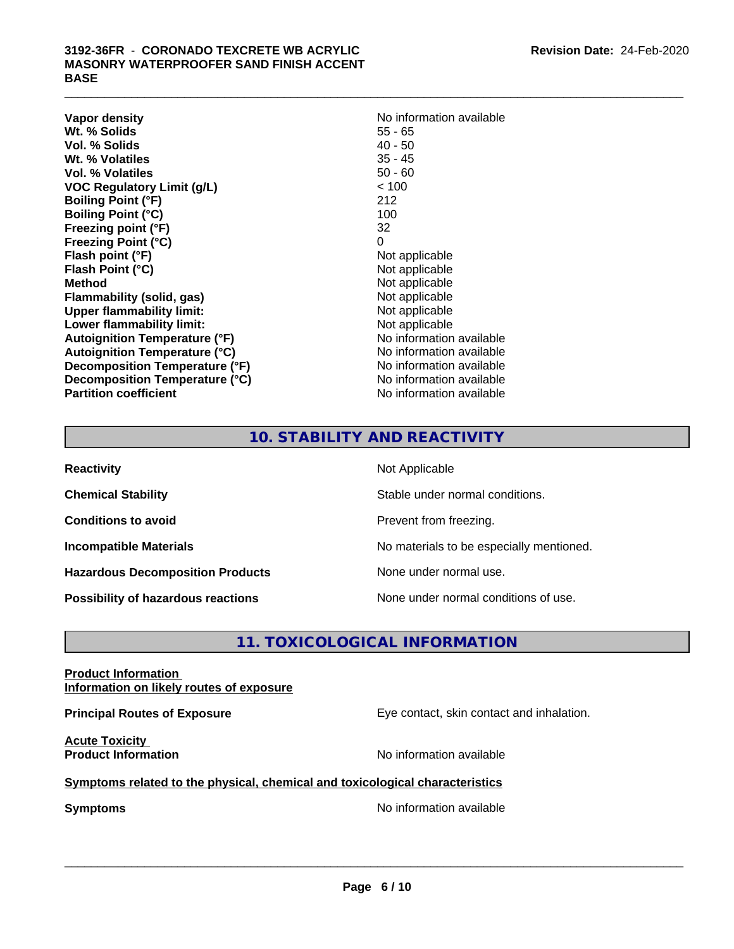**Vapor density**<br> **We Solids**<br>
We Solid Wit, % Solids
2016 **Wt. % Solids** 55 - 65<br> **Vol. % Solids** 40 - 50 **Vol. % Solids Wt. % Volatiles** 35 - 45 **Vol. % Volatiles** 50 - 60 **VOC Regulatory Limit (g/L)** < 100 **Boiling Point (°F)** 212 **Boiling Point (°C)** 100 **Freezing point (°F)** 32 **Freezing Point (°C)** 0 **Flash point (°F)** Not applicable **Flash Point (°C)**<br> **Method** Not applicable<br>
Not applicable<br>
Not applicable **Flammability** (solid, gas) **Upper flammability limit:**<br> **Lower flammability limit:** Not applicable Not applicable **Lower flammability limit:**<br> **Autoignition Temperature (°F)** Not applicable havailable **Autoignition Temperature (°F) Autoignition Temperature (°C)**<br> **Decomposition Temperature (°F)** No information available **Decomposition Temperature (°F) Decomposition Temperature (°C)** No information available **Partition coefficient Contract Contract Contract Contract Contract Contract Contract Contract Contract Contract Contract Contract Contract Contract Contract Contract Contract Contract Contract Contract Contract Contract** 

# **Not applicable**<br>Not applicable

### **10. STABILITY AND REACTIVITY**

| <b>Reactivity</b>                         | Not Applicable                           |
|-------------------------------------------|------------------------------------------|
| <b>Chemical Stability</b>                 | Stable under normal conditions.          |
| <b>Conditions to avoid</b>                | Prevent from freezing.                   |
| <b>Incompatible Materials</b>             | No materials to be especially mentioned. |
| <b>Hazardous Decomposition Products</b>   | None under normal use.                   |
| <b>Possibility of hazardous reactions</b> | None under normal conditions of use.     |

## **11. TOXICOLOGICAL INFORMATION**

### **Product Information Information on likely routes of exposure**

**Acute Toxicity** 

**Principal Routes of Exposure Exposure** Eye contact, skin contact and inhalation.

**Product Information Intervention** available **No** information available

### **Symptoms related to the physical, chemical and toxicological characteristics**

**Symptoms** No information available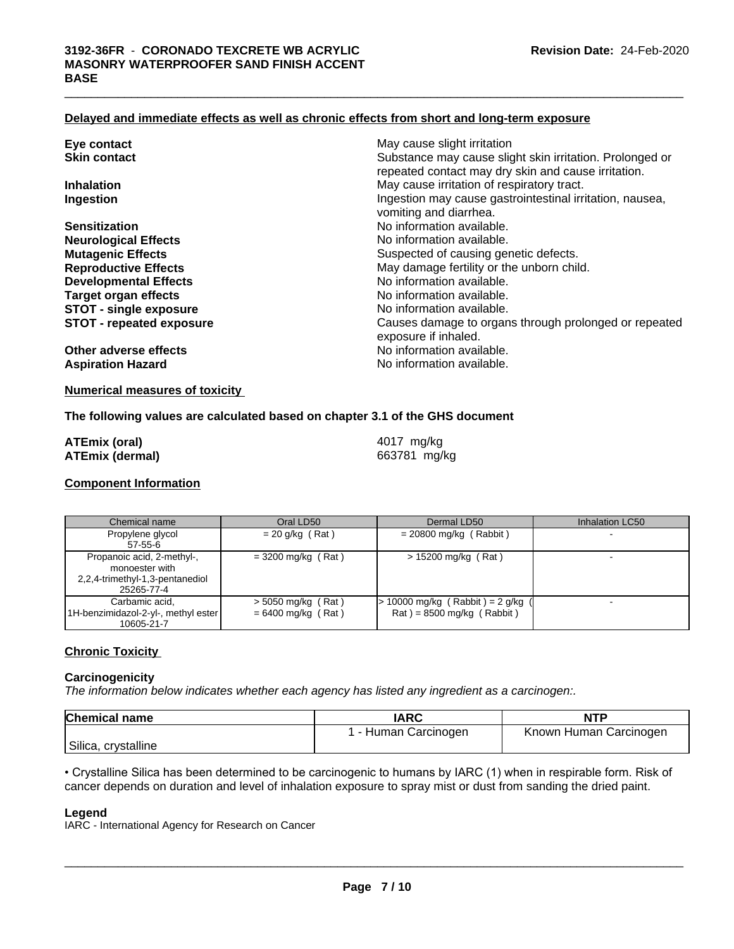### **Delayed and immediate effects as well as chronic effects from short and long-term exposure**

| Eye contact                     | May cause slight irritation                                                   |
|---------------------------------|-------------------------------------------------------------------------------|
| <b>Skin contact</b>             | Substance may cause slight skin irritation. Prolonged or                      |
|                                 | repeated contact may dry skin and cause irritation.                           |
| <b>Inhalation</b>               | May cause irritation of respiratory tract.                                    |
| Ingestion                       | Ingestion may cause gastrointestinal irritation, nausea,                      |
|                                 | vomiting and diarrhea.                                                        |
| <b>Sensitization</b>            | No information available.                                                     |
| <b>Neurological Effects</b>     | No information available.                                                     |
| <b>Mutagenic Effects</b>        | Suspected of causing genetic defects.                                         |
| <b>Reproductive Effects</b>     | May damage fertility or the unborn child.                                     |
| <b>Developmental Effects</b>    | No information available.                                                     |
| <b>Target organ effects</b>     | No information available.                                                     |
| <b>STOT - single exposure</b>   | No information available.                                                     |
| <b>STOT - repeated exposure</b> | Causes damage to organs through prolonged or repeated<br>exposure if inhaled. |
| Other adverse effects           | No information available.                                                     |
| <b>Aspiration Hazard</b>        | No information available.                                                     |
|                                 |                                                                               |

### **Numerical measures of toxicity**

### **The following values are calculated based on chapter 3.1 of the GHS document**

| <b>ATEmix (oral)</b>   | 4017 mg/kg   |
|------------------------|--------------|
| <b>ATEmix (dermal)</b> | 663781 mg/kg |

### **Component Information**

Chemical name **Chemical Constant Chemical Accord Chemical Inhalation LC50** Chemical name **Chemical Accord Chemical Accord Chemical** Accord Chemical Accord Chemical Accord Chemical Accord Chemical Accord Chemical Accord Che Propylene glycol 57-55-6  $= 20$  g/kg (Rat)  $= 20800$  mg/kg (Rabbit) Propanoic acid, 2-methyl-, monoester with 2,2,4-trimethyl-1,3-pentanediol 25265-77-4  $= 3200 \text{ mg/kg}$  (Rat)  $\qquad \qquad$  > 15200 mg/kg (Rat) Carbamic acid, 1H-benzimidazol-2-yl-, methyl ester 10605-21-7 > 5050 mg/kg ( Rat ) = 6400 mg/kg ( Rat ) > 10000 mg/kg ( Rabbit ) = 2 g/kg (  $Rat$  ) = 8500 mg/kg (Rabbit) -

### **Chronic Toxicity**

### **Carcinogenicity**

*The information below indicateswhether each agency has listed any ingredient as a carcinogen:.*

| <b>Chemical name</b> | <b>IARC</b>        | <b>NTF</b>             |
|----------------------|--------------------|------------------------|
|                      | - Human Carcinogen | Known Human Carcinogen |
| Silica, crystalline  |                    |                        |

• Crystalline Silica has been determined to be carcinogenic to humans by IARC (1) when in respirable form. Risk of cancer depends on duration and level of inhalation exposure to spray mist or dust from sanding the dried paint.\_\_\_\_\_\_\_\_\_\_\_\_\_\_\_\_\_\_\_\_\_\_\_\_\_\_\_\_\_\_\_\_\_\_\_\_\_\_\_\_\_\_\_\_\_\_\_\_\_\_\_\_\_\_\_\_\_\_\_\_\_\_\_\_\_\_\_\_\_\_\_\_\_\_\_\_\_\_\_\_\_\_\_\_\_\_\_\_\_\_\_\_\_

### **Legend**

IARC - International Agency for Research on Cancer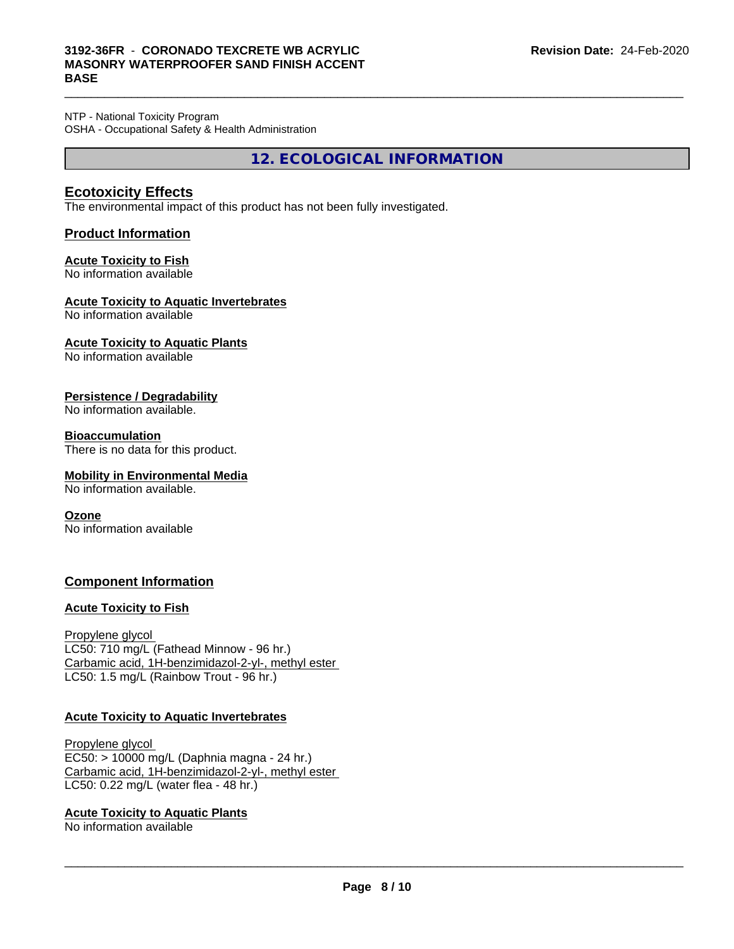NTP - National Toxicity Program OSHA - Occupational Safety & Health Administration

**12. ECOLOGICAL INFORMATION**

 $\_$  ,  $\_$  ,  $\_$  ,  $\_$  ,  $\_$  ,  $\_$  ,  $\_$  ,  $\_$  ,  $\_$  ,  $\_$  ,  $\_$  ,  $\_$  ,  $\_$  ,  $\_$  ,  $\_$  ,  $\_$  ,  $\_$  ,  $\_$  ,  $\_$  ,  $\_$  ,  $\_$  ,  $\_$  ,  $\_$  ,  $\_$  ,  $\_$  ,  $\_$  ,  $\_$  ,  $\_$  ,  $\_$  ,  $\_$  ,  $\_$  ,  $\_$  ,  $\_$  ,  $\_$  ,  $\_$  ,  $\_$  ,  $\_$  ,

### **Ecotoxicity Effects**

The environmental impact of this product has not been fully investigated.

### **Product Information**

### **Acute Toxicity to Fish**

No information available

### **Acute Toxicity to Aquatic Invertebrates**

No information available

### **Acute Toxicity to Aquatic Plants**

No information available

### **Persistence / Degradability**

No information available.

### **Bioaccumulation**

There is no data for this product.

### **Mobility in Environmental Media**

No information available.

### **Ozone**

No information available

### **Component Information**

### **Acute Toxicity to Fish**

Propylene glycol LC50: 710 mg/L (Fathead Minnow - 96 hr.) Carbamic acid, 1H-benzimidazol-2-yl-, methyl ester LC50: 1.5 mg/L (Rainbow Trout - 96 hr.)

### **Acute Toxicity to Aquatic Invertebrates**

Propylene glycol EC50: > 10000 mg/L (Daphnia magna - 24 hr.) Carbamic acid, 1H-benzimidazol-2-yl-, methyl ester LC50: 0.22 mg/L (water flea - 48 hr.)

### **Acute Toxicity to Aquatic Plants**

No information available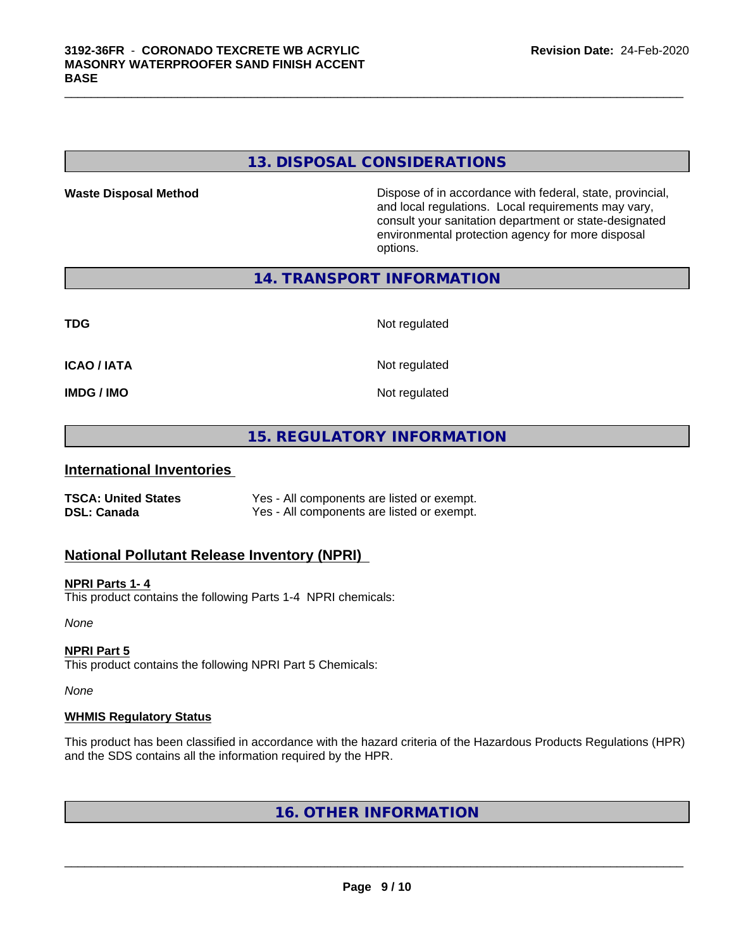### **13. DISPOSAL CONSIDERATIONS**

 $\_$  ,  $\_$  ,  $\_$  ,  $\_$  ,  $\_$  ,  $\_$  ,  $\_$  ,  $\_$  ,  $\_$  ,  $\_$  ,  $\_$  ,  $\_$  ,  $\_$  ,  $\_$  ,  $\_$  ,  $\_$  ,  $\_$  ,  $\_$  ,  $\_$  ,  $\_$  ,  $\_$  ,  $\_$  ,  $\_$  ,  $\_$  ,  $\_$  ,  $\_$  ,  $\_$  ,  $\_$  ,  $\_$  ,  $\_$  ,  $\_$  ,  $\_$  ,  $\_$  ,  $\_$  ,  $\_$  ,  $\_$  ,  $\_$  ,

**Waste Disposal Method** Dispose of in accordance with federal, state, provincial, and local regulations. Local requirements may vary, consult your sanitation department or state-designated environmental protection agency for more disposal options.

**14. TRANSPORT INFORMATION**

| <b>TDG</b>         | Not regulated |
|--------------------|---------------|
| <b>ICAO / IATA</b> | Not regulated |
| <b>IMDG / IMO</b>  | Not regulated |

### **15. REGULATORY INFORMATION**

### **International Inventories**

| <b>TSCA: United States</b> | Yes - All components are listed or exempt. |
|----------------------------|--------------------------------------------|
| DSL: Canada                | Yes - All components are listed or exempt. |

### **National Pollutant Release Inventory (NPRI)**

### **NPRI Parts 1- 4**

This product contains the following Parts 1-4 NPRI chemicals:

*None*

### **NPRI Part 5**

This product contains the following NPRI Part 5 Chemicals:

*None*

### **WHMIS Regulatory Status**

This product has been classified in accordance with the hazard criteria of the Hazardous Products Regulations (HPR) and the SDS contains all the information required by the HPR.

**16. OTHER INFORMATION**